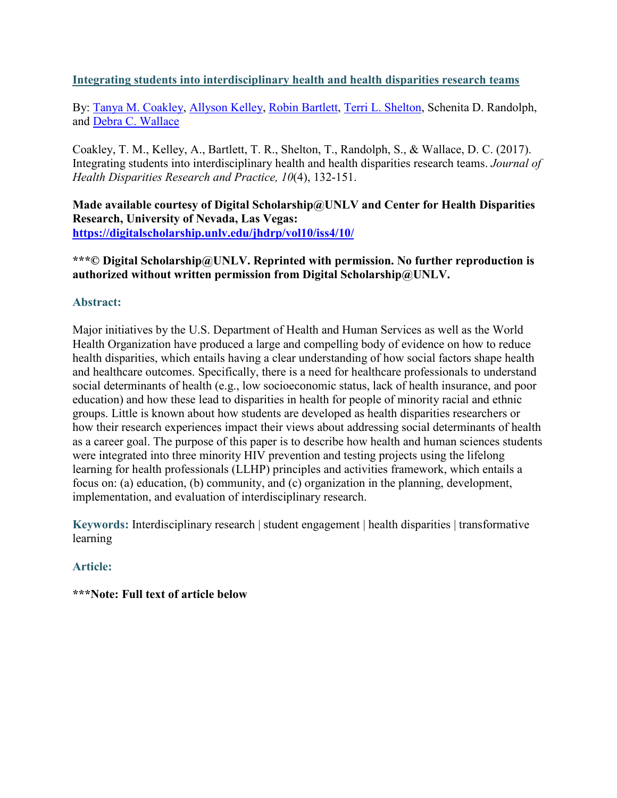## **Integrating students into interdisciplinary health and health disparities research teams**

By: [Tanya M. Coakley,](http://libres.uncg.edu/ir/uncg/clist.aspx?id=1269) [Allyson Kelley,](http://libres.uncg.edu/ir/uncg/clist.aspx?id=7979) [Robin Bartlett,](https://libres.uncg.edu/ir/uncg/clist.aspx?id=1649) [Terri L. Shelton,](http://libres.uncg.edu/ir/uncg/clist.aspx?id=131) Schenita D. Randolph, and [Debra C. Wallace](http://libres.uncg.edu/ir/uncg/clist.aspx?id=1653)

Coakley, T. M., Kelley, A., Bartlett, T. R., Shelton, T., Randolph, S., & Wallace, D. C. (2017). Integrating students into interdisciplinary health and health disparities research teams. *Journal of Health Disparities Research and Practice, 10*(4), 132-151.

**Made available courtesy of Digital Scholarship@UNLV and Center for Health Disparities Research, University of Nevada, Las Vegas: <https://digitalscholarship.unlv.edu/jhdrp/vol10/iss4/10/>**

**\*\*\*© Digital Scholarship@UNLV. Reprinted with permission. No further reproduction is authorized without written permission from Digital Scholarship@UNLV.**

## **Abstract:**

Major initiatives by the U.S. Department of Health and Human Services as well as the World Health Organization have produced a large and compelling body of evidence on how to reduce health disparities, which entails having a clear understanding of how social factors shape health and healthcare outcomes. Specifically, there is a need for healthcare professionals to understand social determinants of health (e.g., low socioeconomic status, lack of health insurance, and poor education) and how these lead to disparities in health for people of minority racial and ethnic groups. Little is known about how students are developed as health disparities researchers or how their research experiences impact their views about addressing social determinants of health as a career goal. The purpose of this paper is to describe how health and human sciences students were integrated into three minority HIV prevention and testing projects using the lifelong learning for health professionals (LLHP) principles and activities framework, which entails a focus on: (a) education, (b) community, and (c) organization in the planning, development, implementation, and evaluation of interdisciplinary research.

**Keywords:** Interdisciplinary research | student engagement | health disparities | transformative learning

# **Article:**

## **\*\*\*Note: Full text of article below**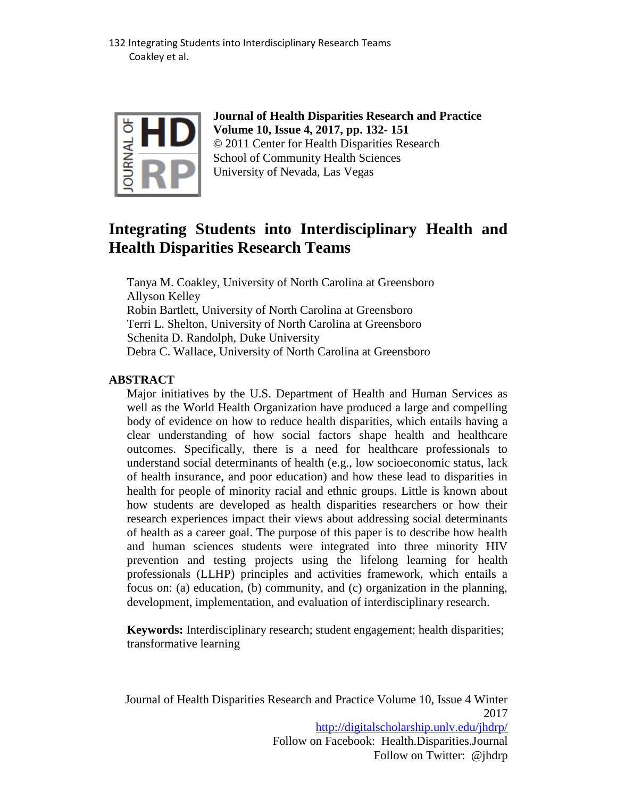

**Journal of Health Disparities Research and Practice Volume 10, Issue 4, 2017, pp. 132- 151** © 2011 Center for Health Disparities Research School of Community Health Sciences University of Nevada, Las Vegas

# **Integrating Students into Interdisciplinary Health and Health Disparities Research Teams**

Tanya M. Coakley, University of North Carolina at Greensboro Allyson Kelley Robin Bartlett, University of North Carolina at Greensboro Terri L. Shelton, University of North Carolina at Greensboro Schenita D. Randolph, Duke University Debra C. Wallace, University of North Carolina at Greensboro

## **ABSTRACT**

Major initiatives by the U.S. Department of Health and Human Services as well as the World Health Organization have produced a large and compelling body of evidence on how to reduce health disparities, which entails having a clear understanding of how social factors shape health and healthcare outcomes. Specifically, there is a need for healthcare professionals to understand social determinants of health (e.g., low socioeconomic status, lack of health insurance, and poor education) and how these lead to disparities in health for people of minority racial and ethnic groups. Little is known about how students are developed as health disparities researchers or how their research experiences impact their views about addressing social determinants of health as a career goal. The purpose of this paper is to describe how health and human sciences students were integrated into three minority HIV prevention and testing projects using the lifelong learning for health professionals (LLHP) principles and activities framework, which entails a focus on: (a) education, (b) community, and (c) organization in the planning, development, implementation, and evaluation of interdisciplinary research.

**Keywords:** Interdisciplinary research; student engagement; health disparities; transformative learning

Journal of Health Disparities Research and Practice Volume 10, Issue 4 Winter 2017 <http://digitalscholarship.unlv.edu/jhdrp/> Follow on Facebook: Health.Disparities.Journal Follow on Twitter: @jhdrp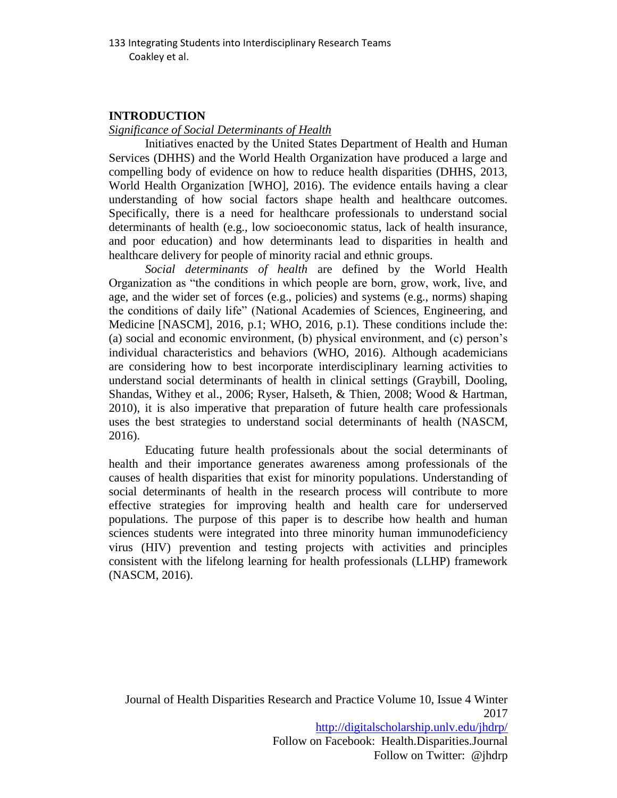# **INTRODUCTION**

*Significance of Social Determinants of Health* 

Initiatives enacted by the United States Department of Health and Human Services (DHHS) and the World Health Organization have produced a large and compelling body of evidence on how to reduce health disparities (DHHS, 2013, World Health Organization [WHO], 2016). The evidence entails having a clear understanding of how social factors shape health and healthcare outcomes. Specifically, there is a need for healthcare professionals to understand social determinants of health (e.g., low socioeconomic status, lack of health insurance, and poor education) and how determinants lead to disparities in health and healthcare delivery for people of minority racial and ethnic groups.

*Social determinants of health* are defined by the World Health Organization as "the conditions in which people are born, grow, work, live, and age, and the wider set of forces (e.g., policies) and systems (e.g., norms) shaping the conditions of daily life" (National Academies of Sciences, Engineering, and Medicine [NASCM], 2016, p.1; WHO, 2016, p.1). These conditions include the: (a) social and economic environment, (b) physical environment, and (c) person's individual characteristics and behaviors (WHO, 2016). Although academicians are considering how to best incorporate interdisciplinary learning activities to understand social determinants of health in clinical settings (Graybill, Dooling, Shandas, Withey et al., 2006; Ryser, Halseth, & Thien, 2008; Wood & Hartman, 2010), it is also imperative that preparation of future health care professionals uses the best strategies to understand social determinants of health (NASCM, 2016).

Educating future health professionals about the social determinants of health and their importance generates awareness among professionals of the causes of health disparities that exist for minority populations. Understanding of social determinants of health in the research process will contribute to more effective strategies for improving health and health care for underserved populations. The purpose of this paper is to describe how health and human sciences students were integrated into three minority human immunodeficiency virus (HIV) prevention and testing projects with activities and principles consistent with the lifelong learning for health professionals (LLHP) framework (NASCM, 2016).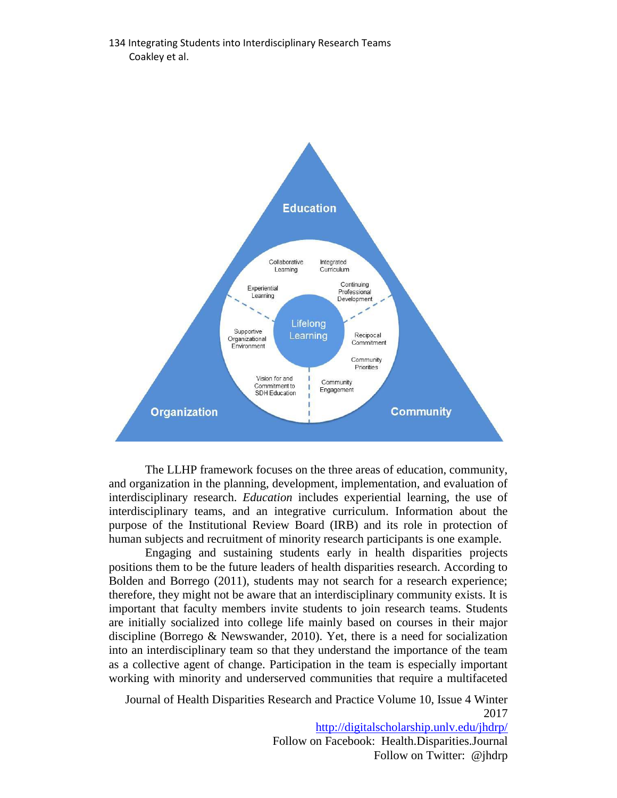

The LLHP framework focuses on the three areas of education, community, and organization in the planning, development, implementation, and evaluation of interdisciplinary research. *Education* includes experiential learning, the use of interdisciplinary teams, and an integrative curriculum. Information about the purpose of the Institutional Review Board (IRB) and its role in protection of human subjects and recruitment of minority research participants is one example.

Engaging and sustaining students early in health disparities projects positions them to be the future leaders of health disparities research. According to Bolden and Borrego (2011), students may not search for a research experience; therefore, they might not be aware that an interdisciplinary community exists. It is important that faculty members invite students to join research teams. Students are initially socialized into college life mainly based on courses in their major discipline (Borrego & Newswander, 2010). Yet, there is a need for socialization into an interdisciplinary team so that they understand the importance of the team as a collective agent of change. Participation in the team is especially important working with minority and underserved communities that require a multifaceted

Journal of Health Disparities Research and Practice Volume 10, Issue 4 Winter 2017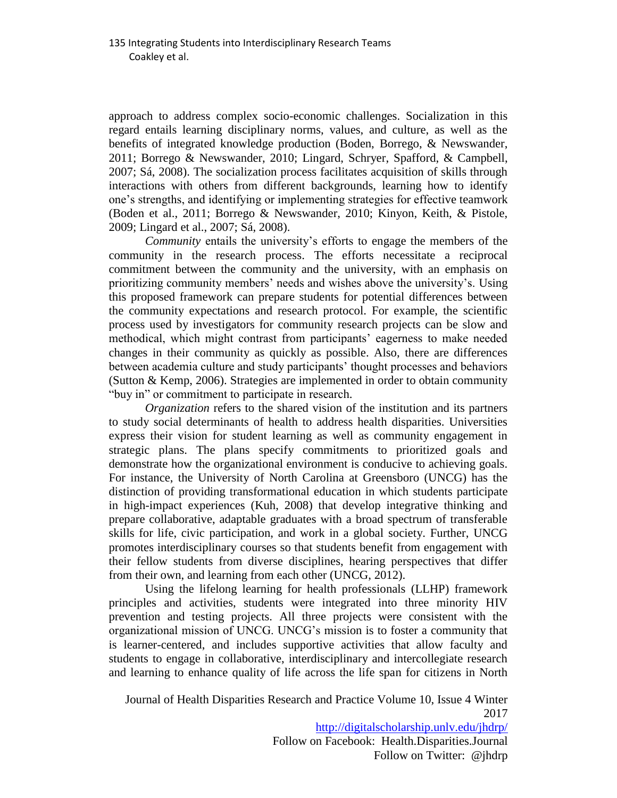approach to address complex socio-economic challenges. Socialization in this regard entails learning disciplinary norms, values, and culture, as well as the benefits of integrated knowledge production (Boden, Borrego, & Newswander, 2011; Borrego & Newswander, 2010; Lingard, Schryer, Spafford, & Campbell, 2007; Sá, 2008). The socialization process facilitates acquisition of skills through interactions with others from different backgrounds, learning how to identify one's strengths, and identifying or implementing strategies for effective teamwork (Boden et al., 2011; Borrego & Newswander, 2010; Kinyon, Keith, & Pistole, 2009; Lingard et al., 2007; Sá, 2008).

*Community* entails the university's efforts to engage the members of the community in the research process. The efforts necessitate a reciprocal commitment between the community and the university, with an emphasis on prioritizing community members' needs and wishes above the university's. Using this proposed framework can prepare students for potential differences between the community expectations and research protocol. For example, the scientific process used by investigators for community research projects can be slow and methodical, which might contrast from participants' eagerness to make needed changes in their community as quickly as possible. Also, there are differences between academia culture and study participants' thought processes and behaviors (Sutton & Kemp, 2006). Strategies are implemented in order to obtain community "buy in" or commitment to participate in research.

*Organization* refers to the shared vision of the institution and its partners to study social determinants of health to address health disparities. Universities express their vision for student learning as well as community engagement in strategic plans. The plans specify commitments to prioritized goals and demonstrate how the organizational environment is conducive to achieving goals. For instance, the University of North Carolina at Greensboro (UNCG) has the distinction of providing transformational education in which students participate in high-impact experiences (Kuh, 2008) that develop integrative thinking and prepare collaborative, adaptable graduates with a broad spectrum of transferable skills for life, civic participation, and work in a global society. Further, UNCG promotes interdisciplinary courses so that students benefit from engagement with their fellow students from diverse disciplines, hearing perspectives that differ from their own, and learning from each other (UNCG, 2012).

Using the lifelong learning for health professionals (LLHP) framework principles and activities, students were integrated into three minority HIV prevention and testing projects. All three projects were consistent with the organizational mission of UNCG. UNCG's mission is to foster a community that is learner-centered, and includes supportive activities that allow faculty and students to engage in collaborative, interdisciplinary and intercollegiate research and learning to enhance quality of life across the life span for citizens in North

Journal of Health Disparities Research and Practice Volume 10, Issue 4 Winter 2017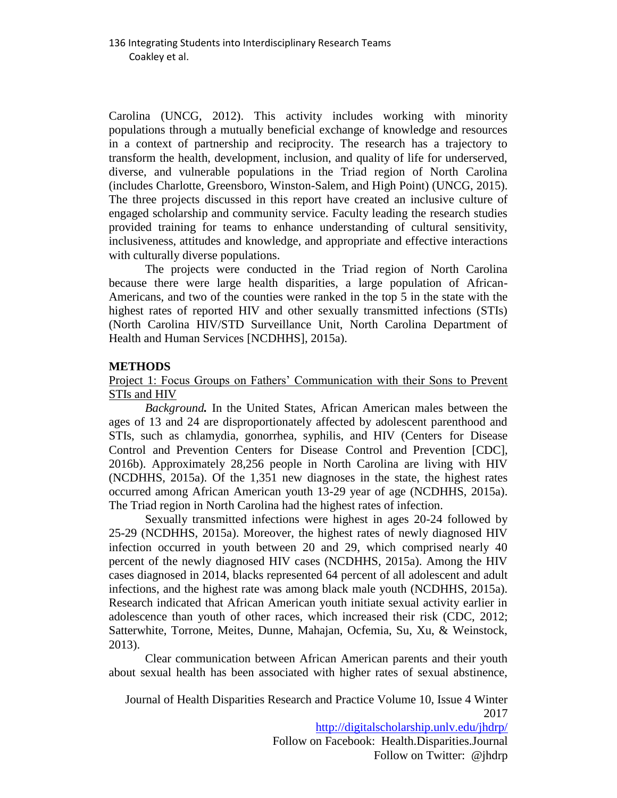Carolina (UNCG, 2012). This activity includes working with minority populations through a mutually beneficial exchange of knowledge and resources in a context of partnership and reciprocity. The research has a trajectory to transform the health, development, inclusion, and quality of life for underserved, diverse, and vulnerable populations in the Triad region of North Carolina (includes Charlotte, Greensboro, Winston-Salem, and High Point) (UNCG, 2015). The three projects discussed in this report have created an inclusive culture of engaged scholarship and community service. Faculty leading the research studies provided training for teams to enhance understanding of cultural sensitivity, inclusiveness, attitudes and knowledge, and appropriate and effective interactions with culturally diverse populations.

The projects were conducted in the Triad region of North Carolina because there were large health disparities, a large population of African-Americans, and two of the counties were ranked in the top 5 in the state with the highest rates of reported HIV and other sexually transmitted infections (STIs) (North Carolina HIV/STD Surveillance Unit, North Carolina Department of Health and Human Services [NCDHHS], 2015a).

## **METHODS**

## Project 1: Focus Groups on Fathers' Communication with their Sons to Prevent STIs and **HIV**

*Background.* In the United States, African American males between the ages of 13 and 24 are disproportionately affected by adolescent parenthood and STIs, such as chlamydia, gonorrhea, syphilis, and HIV (Centers for Disease Control and Prevention Centers for Disease Control and Prevention [CDC], 2016b). Approximately 28,256 people in North Carolina are living with HIV (NCDHHS, 2015a). Of the 1,351 new diagnoses in the state, the highest rates occurred among African American youth 13-29 year of age (NCDHHS, 2015a). The Triad region in North Carolina had the highest rates of infection.

Sexually transmitted infections were highest in ages 20-24 followed by 25-29 (NCDHHS, 2015a). Moreover, the highest rates of newly diagnosed HIV infection occurred in youth between 20 and 29, which comprised nearly 40 percent of the newly diagnosed HIV cases (NCDHHS, 2015a). Among the HIV cases diagnosed in 2014, blacks represented 64 percent of all adolescent and adult infections, and the highest rate was among black male youth (NCDHHS, 2015a). Research indicated that African American youth initiate sexual activity earlier in adolescence than youth of other races, which increased their risk (CDC, 2012; Satterwhite, Torrone, Meites, Dunne, Mahajan, Ocfemia, Su, Xu, & Weinstock, 2013).

Clear communication between African American parents and their youth about sexual health has been associated with higher rates of sexual abstinence,

#### Journal of Health Disparities Research and Practice Volume 10, Issue 4 Winter 2017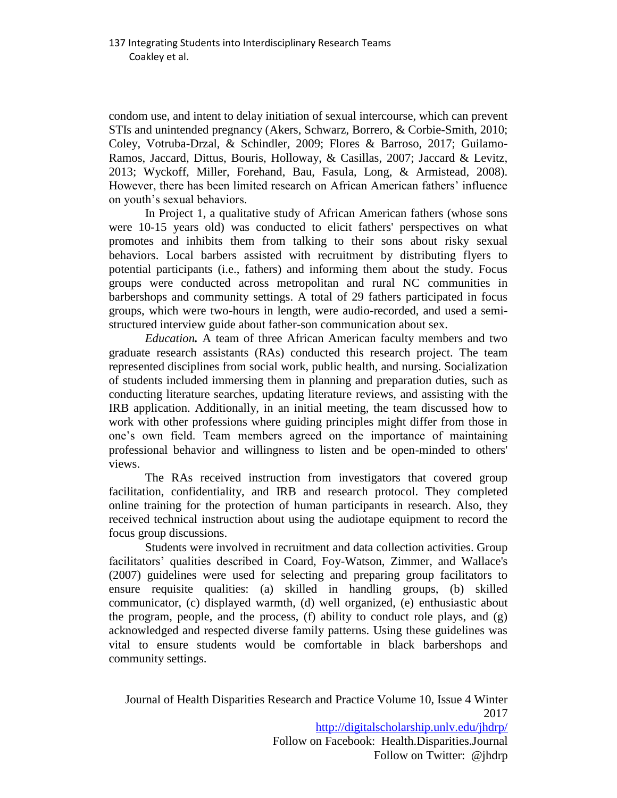condom use, and intent to delay initiation of sexual intercourse, which can prevent STIs and unintended pregnancy (Akers, Schwarz, Borrero, & Corbie-Smith, 2010; Coley, Votruba-Drzal, & Schindler, 2009; Flores & Barroso, 2017; Guilamo-Ramos, Jaccard, Dittus, Bouris, Holloway, & Casillas, 2007; Jaccard & Levitz, 2013; Wyckoff, Miller, Forehand, Bau, Fasula, Long, & Armistead, 2008). However, there has been limited research on African American fathers' influence on youth's sexual behaviors.

In Project 1, a qualitative study of African American fathers (whose sons were 10-15 years old) was conducted to elicit fathers' perspectives on what promotes and inhibits them from talking to their sons about risky sexual behaviors. Local barbers assisted with recruitment by distributing flyers to potential participants (i.e., fathers) and informing them about the study. Focus groups were conducted across metropolitan and rural NC communities in barbershops and community settings. A total of 29 fathers participated in focus groups, which were two-hours in length, were audio-recorded, and used a semistructured interview guide about father-son communication about sex.

*Education.* A team of three African American faculty members and two graduate research assistants (RAs) conducted this research project. The team represented disciplines from social work, public health, and nursing. Socialization of students included immersing them in planning and preparation duties, such as conducting literature searches, updating literature reviews, and assisting with the IRB application. Additionally, in an initial meeting, the team discussed how to work with other professions where guiding principles might differ from those in one's own field. Team members agreed on the importance of maintaining professional behavior and willingness to listen and be open-minded to others' views.

The RAs received instruction from investigators that covered group facilitation, confidentiality, and IRB and research protocol. They completed online training for the protection of human participants in research. Also, they received technical instruction about using the audiotape equipment to record the focus group discussions.

Students were involved in recruitment and data collection activities. Group facilitators' qualities described in Coard, Foy-Watson, Zimmer, and Wallace's (2007) guidelines were used for selecting and preparing group facilitators to ensure requisite qualities: (a) skilled in handling groups, (b) skilled communicator, (c) displayed warmth, (d) well organized, (e) enthusiastic about the program, people, and the process, (f) ability to conduct role plays, and  $(g)$ acknowledged and respected diverse family patterns. Using these guidelines was vital to ensure students would be comfortable in black barbershops and community settings.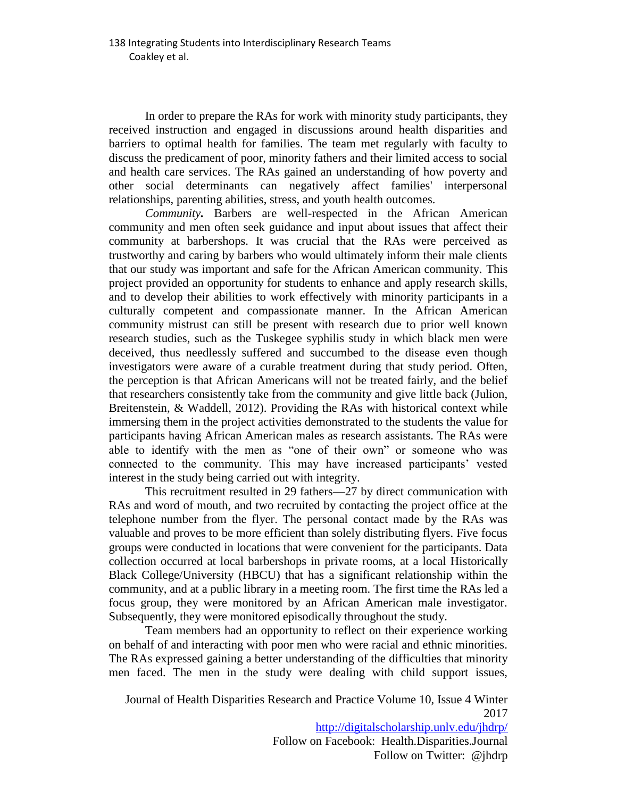In order to prepare the RAs for work with minority study participants, they received instruction and engaged in discussions around health disparities and barriers to optimal health for families. The team met regularly with faculty to discuss the predicament of poor, minority fathers and their limited access to social and health care services. The RAs gained an understanding of how poverty and other social determinants can negatively affect families' interpersonal relationships, parenting abilities, stress, and youth health outcomes.

*Community.* Barbers are well-respected in the African American community and men often seek guidance and input about issues that affect their community at barbershops. It was crucial that the RAs were perceived as trustworthy and caring by barbers who would ultimately inform their male clients that our study was important and safe for the African American community. This project provided an opportunity for students to enhance and apply research skills, and to develop their abilities to work effectively with minority participants in a culturally competent and compassionate manner. In the African American community mistrust can still be present with research due to prior well known research studies, such as the Tuskegee syphilis study in which black men were deceived, thus needlessly suffered and succumbed to the disease even though investigators were aware of a curable treatment during that study period. Often, the perception is that African Americans will not be treated fairly, and the belief that researchers consistently take from the community and give little back (Julion, Breitenstein, & Waddell, 2012). Providing the RAs with historical context while immersing them in the project activities demonstrated to the students the value for participants having African American males as research assistants. The RAs were able to identify with the men as "one of their own" or someone who was connected to the community. This may have increased participants' vested interest in the study being carried out with integrity.

This recruitment resulted in 29 fathers—27 by direct communication with RAs and word of mouth, and two recruited by contacting the project office at the telephone number from the flyer. The personal contact made by the RAs was valuable and proves to be more efficient than solely distributing flyers. Five focus groups were conducted in locations that were convenient for the participants. Data collection occurred at local barbershops in private rooms, at a local Historically Black College/University (HBCU) that has a significant relationship within the community, and at a public library in a meeting room. The first time the RAs led a focus group, they were monitored by an African American male investigator. Subsequently, they were monitored episodically throughout the study.

Team members had an opportunity to reflect on their experience working on behalf of and interacting with poor men who were racial and ethnic minorities. The RAs expressed gaining a better understanding of the difficulties that minority men faced. The men in the study were dealing with child support issues,

Journal of Health Disparities Research and Practice Volume 10, Issue 4 Winter 2017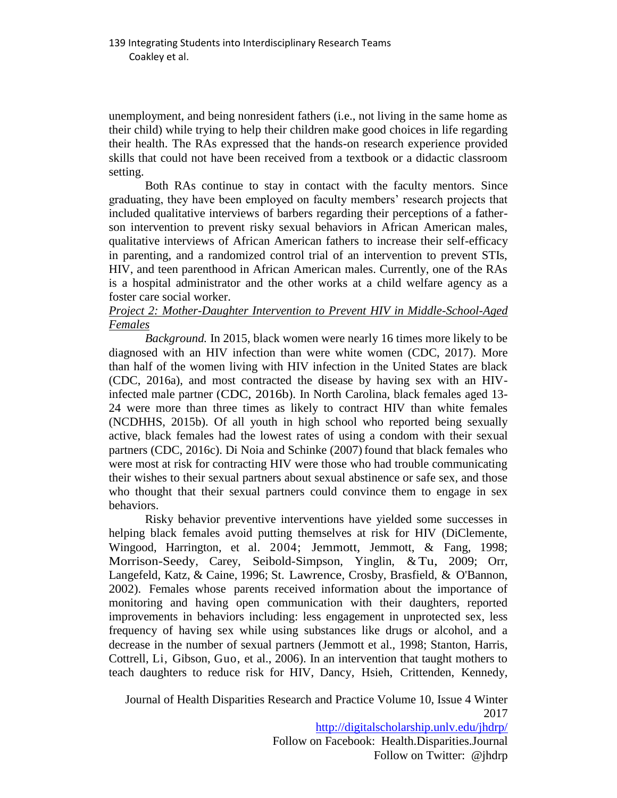unemployment, and being nonresident fathers (i.e., not living in the same home as their child) while trying to help their children make good choices in life regarding their health. The RAs expressed that the hands-on research experience provided skills that could not have been received from a textbook or a didactic classroom setting.

Both RAs continue to stay in contact with the faculty mentors. Since graduating, they have been employed on faculty members' research projects that included qualitative interviews of barbers regarding their perceptions of a fatherson intervention to prevent risky sexual behaviors in African American males, qualitative interviews of African American fathers to increase their self-efficacy in parenting, and a randomized control trial of an intervention to prevent STIs, HIV, and teen parenthood in African American males. Currently, one of the RAs is a hospital administrator and the other works at a child welfare agency as a foster care social worker.

## *Project 2: Mother-Daughter Intervention to Prevent HIV in Middle-School-Aged Females*

*Background.* In 2015, black women were nearly 16 times more likely to be diagnosed with an HIV infection than were white women (CDC, 2017). More than half of the women living with HIV infection in the United States are black (CDC, 2016a), and most contracted the disease by having sex with an HIVinfected male partner (CDC, 2016b). In North Carolina, black females aged 13- 24 were more than three times as likely to contract HIV than white females (NCDHHS, 2015b). Of all youth in high school who reported being sexually active, black females had the lowest rates of using a condom with their sexual partners (CDC, 2016c). Di Noia and Schinke (2007) found that black females who were most at risk for contracting HIV were those who had trouble communicating their wishes to their sexual partners about sexual abstinence or safe sex, and those who thought that their sexual partners could convince them to engage in sex behaviors.

Risky behavior preventive interventions have yielded some successes in helping black females avoid putting themselves at risk for HIV (DiClemente, Wingood, Harrington, et al. 2004; Jemmott, Jemmott, & Fang, 1998; Morrison-Seedy, Carey, Seibold-Simpson, Yinglin, &Tu, 2009; Orr, Langefeld, Katz, & Caine, 1996; St. Lawrence, Crosby, Brasfield, & O'Bannon, 2002). Females whose parents received information about the importance of monitoring and having open communication with their daughters, reported improvements in behaviors including: less engagement in unprotected sex, less frequency of having sex while using substances like drugs or alcohol, and a decrease in the number of sexual partners (Jemmott et al., 1998; Stanton, Harris, Cottrell, Li, Gibson, Guo, et al., 2006). In an intervention that taught mothers to teach daughters to reduce risk for HIV, Dancy, Hsieh, Crittenden, Kennedy,

Journal of Health Disparities Research and Practice Volume 10, Issue 4 Winter 2017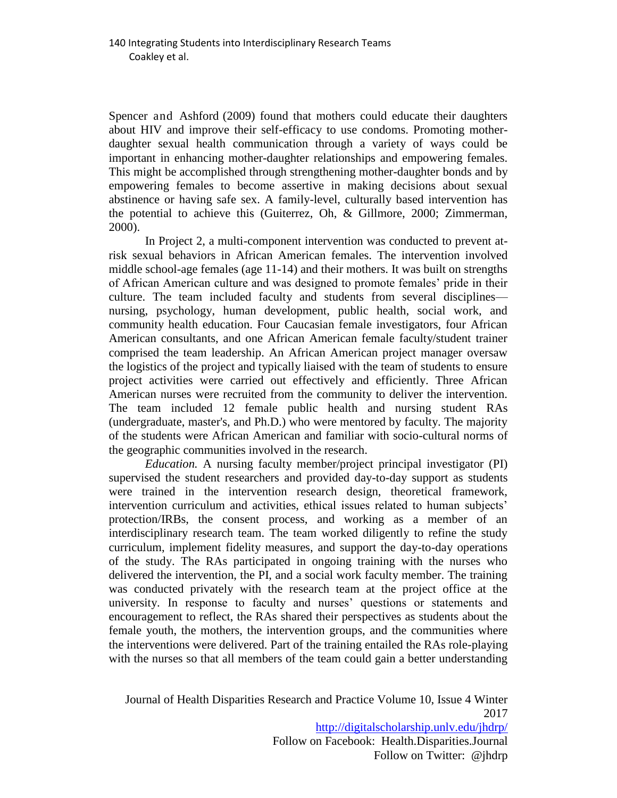Spencer and Ashford (2009) found that mothers could educate their daughters about HIV and improve their self-efficacy to use condoms. Promoting motherdaughter sexual health communication through a variety of ways could be important in enhancing mother-daughter relationships and empowering females. This might be accomplished through strengthening mother-daughter bonds and by empowering females to become assertive in making decisions about sexual abstinence or having safe sex. A family-level, culturally based intervention has the potential to achieve this (Guiterrez, Oh, & Gillmore, 2000; Zimmerman, 2000).

In Project 2, a multi-component intervention was conducted to prevent atrisk sexual behaviors in African American females. The intervention involved middle school-age females (age 11-14) and their mothers. It was built on strengths of African American culture and was designed to promote females' pride in their culture. The team included faculty and students from several disciplines nursing, psychology, human development, public health, social work, and community health education. Four Caucasian female investigators, four African American consultants, and one African American female faculty/student trainer comprised the team leadership. An African American project manager oversaw the logistics of the project and typically liaised with the team of students to ensure project activities were carried out effectively and efficiently. Three African American nurses were recruited from the community to deliver the intervention. The team included 12 female public health and nursing student RAs (undergraduate, master's, and Ph.D.) who were mentored by faculty. The majority of the students were African American and familiar with socio-cultural norms of the geographic communities involved in the research.

*Education.* A nursing faculty member/project principal investigator (PI) supervised the student researchers and provided day-to-day support as students were trained in the intervention research design, theoretical framework, intervention curriculum and activities, ethical issues related to human subjects' protection/IRBs, the consent process, and working as a member of an interdisciplinary research team. The team worked diligently to refine the study curriculum, implement fidelity measures, and support the day-to-day operations of the study. The RAs participated in ongoing training with the nurses who delivered the intervention, the PI, and a social work faculty member. The training was conducted privately with the research team at the project office at the university. In response to faculty and nurses' questions or statements and encouragement to reflect, the RAs shared their perspectives as students about the female youth, the mothers, the intervention groups, and the communities where the interventions were delivered. Part of the training entailed the RAs role-playing with the nurses so that all members of the team could gain a better understanding

Journal of Health Disparities Research and Practice Volume 10, Issue 4 Winter 2017 <http://digitalscholarship.unlv.edu/jhdrp/> Follow on Facebook: Health.Disparities.Journal

Follow on Twitter: @jhdrp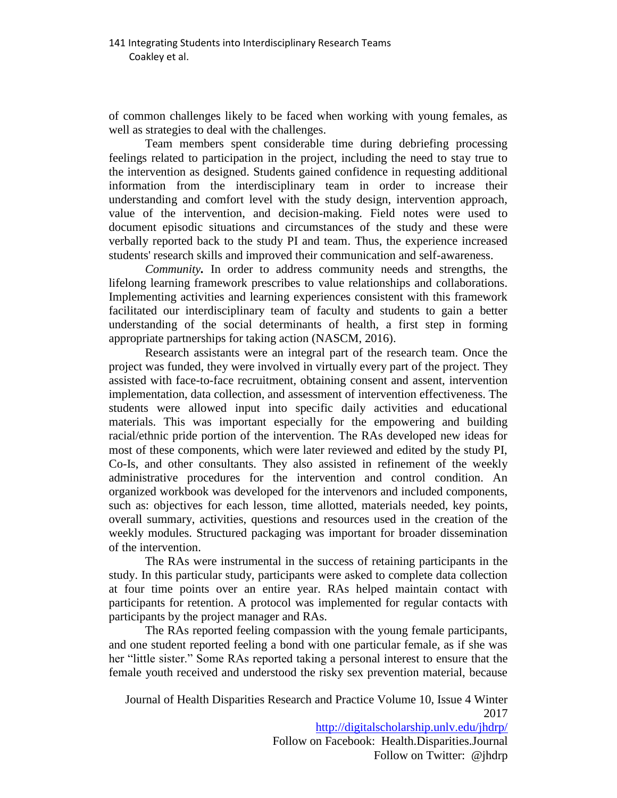of common challenges likely to be faced when working with young females, as well as strategies to deal with the challenges.

Team members spent considerable time during debriefing processing feelings related to participation in the project, including the need to stay true to the intervention as designed. Students gained confidence in requesting additional information from the interdisciplinary team in order to increase their understanding and comfort level with the study design, intervention approach, value of the intervention, and decision-making. Field notes were used to document episodic situations and circumstances of the study and these were verbally reported back to the study PI and team. Thus, the experience increased students' research skills and improved their communication and self-awareness.

*Community.* In order to address community needs and strengths, the lifelong learning framework prescribes to value relationships and collaborations. Implementing activities and learning experiences consistent with this framework facilitated our interdisciplinary team of faculty and students to gain a better understanding of the social determinants of health, a first step in forming appropriate partnerships for taking action (NASCM, 2016).

Research assistants were an integral part of the research team. Once the project was funded, they were involved in virtually every part of the project. They assisted with face-to-face recruitment, obtaining consent and assent, intervention implementation, data collection, and assessment of intervention effectiveness. The students were allowed input into specific daily activities and educational materials. This was important especially for the empowering and building racial/ethnic pride portion of the intervention. The RAs developed new ideas for most of these components, which were later reviewed and edited by the study PI, Co-Is, and other consultants. They also assisted in refinement of the weekly administrative procedures for the intervention and control condition. An organized workbook was developed for the intervenors and included components, such as: objectives for each lesson, time allotted, materials needed, key points, overall summary, activities, questions and resources used in the creation of the weekly modules. Structured packaging was important for broader dissemination of the intervention.

The RAs were instrumental in the success of retaining participants in the study. In this particular study, participants were asked to complete data collection at four time points over an entire year. RAs helped maintain contact with participants for retention. A protocol was implemented for regular contacts with participants by the project manager and RAs.

The RAs reported feeling compassion with the young female participants, and one student reported feeling a bond with one particular female, as if she was her "little sister." Some RAs reported taking a personal interest to ensure that the female youth received and understood the risky sex prevention material, because

Journal of Health Disparities Research and Practice Volume 10, Issue 4 Winter 2017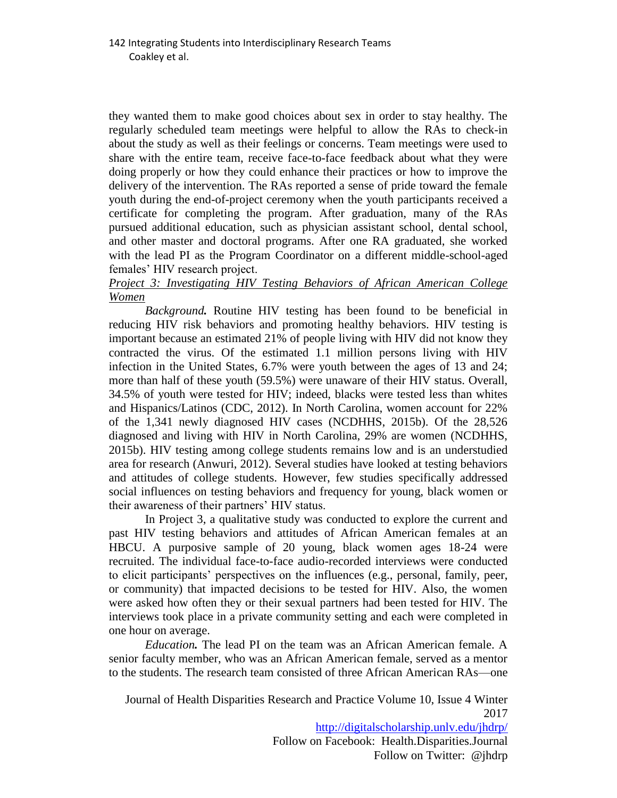they wanted them to make good choices about sex in order to stay healthy. The regularly scheduled team meetings were helpful to allow the RAs to check-in about the study as well as their feelings or concerns. Team meetings were used to share with the entire team, receive face-to-face feedback about what they were doing properly or how they could enhance their practices or how to improve the delivery of the intervention. The RAs reported a sense of pride toward the female youth during the end-of-project ceremony when the youth participants received a certificate for completing the program. After graduation, many of the RAs pursued additional education, such as physician assistant school, dental school, and other master and doctoral programs. After one RA graduated, she worked with the lead PI as the Program Coordinator on a different middle-school-aged females' HIV research project.

## *Project 3: Investigating HIV Testing Behaviors of African American College Women*

*Background.* Routine HIV testing has been found to be beneficial in reducing HIV risk behaviors and promoting healthy behaviors. HIV testing is important because an estimated 21% of people living with HIV did not know they contracted the virus. Of the estimated 1.1 million persons living with HIV infection in the United States, 6.7% were youth between the ages of 13 and 24; more than half of these youth (59.5%) were unaware of their HIV status. Overall, 34.5% of youth were tested for HIV; indeed, blacks were tested less than whites and Hispanics/Latinos (CDC, 2012). In North Carolina, women account for 22% of the 1,341 newly diagnosed HIV cases (NCDHHS, 2015b). Of the 28,526 diagnosed and living with HIV in North Carolina, 29% are women (NCDHHS, 2015b). HIV testing among college students remains low and is an understudied area for research (Anwuri, 2012). Several studies have looked at testing behaviors and attitudes of college students. However, few studies specifically addressed social influences on testing behaviors and frequency for young, black women or their awareness of their partners' HIV status.

In Project 3, a qualitative study was conducted to explore the current and past HIV testing behaviors and attitudes of African American females at an HBCU. A purposive sample of 20 young, black women ages 18-24 were recruited. The individual face-to-face audio-recorded interviews were conducted to elicit participants' perspectives on the influences (e.g., personal, family, peer, or community) that impacted decisions to be tested for HIV. Also, the women were asked how often they or their sexual partners had been tested for HIV. The interviews took place in a private community setting and each were completed in one hour on average.

*Education.* The lead PI on the team was an African American female. A senior faculty member, who was an African American female, served as a mentor to the students. The research team consisted of three African American RAs—one

Journal of Health Disparities Research and Practice Volume 10, Issue 4 Winter 2017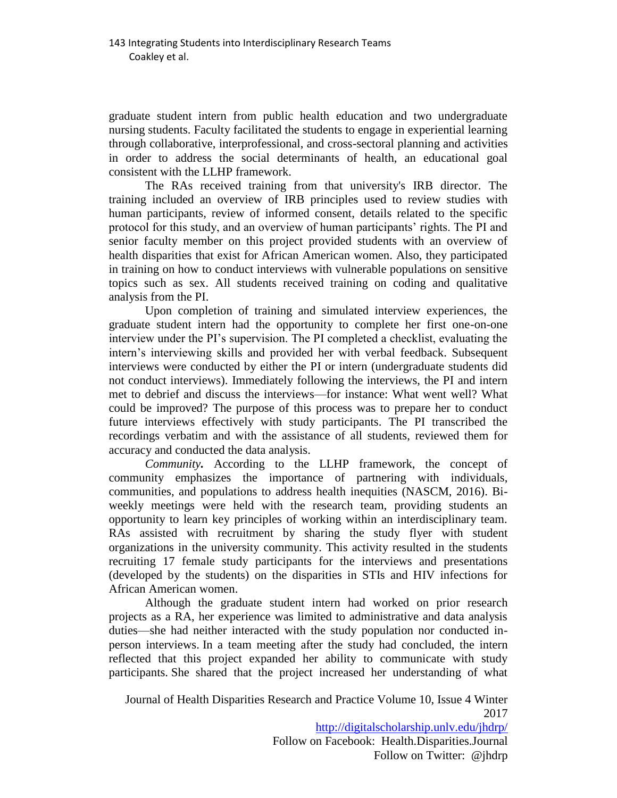graduate student intern from public health education and two undergraduate nursing students. Faculty facilitated the students to engage in experiential learning through collaborative, interprofessional, and cross-sectoral planning and activities in order to address the social determinants of health, an educational goal consistent with the LLHP framework.

The RAs received training from that university's IRB director. The training included an overview of IRB principles used to review studies with human participants, review of informed consent, details related to the specific protocol for this study, and an overview of human participants' rights. The PI and senior faculty member on this project provided students with an overview of health disparities that exist for African American women. Also, they participated in training on how to conduct interviews with vulnerable populations on sensitive topics such as sex. All students received training on coding and qualitative analysis from the PI.

Upon completion of training and simulated interview experiences, the graduate student intern had the opportunity to complete her first one-on-one interview under the PI's supervision. The PI completed a checklist, evaluating the intern's interviewing skills and provided her with verbal feedback. Subsequent interviews were conducted by either the PI or intern (undergraduate students did not conduct interviews). Immediately following the interviews, the PI and intern met to debrief and discuss the interviews—for instance: What went well? What could be improved? The purpose of this process was to prepare her to conduct future interviews effectively with study participants. The PI transcribed the recordings verbatim and with the assistance of all students, reviewed them for accuracy and conducted the data analysis.

*Community.* According to the LLHP framework, the concept of community emphasizes the importance of partnering with individuals, communities, and populations to address health inequities (NASCM, 2016). Biweekly meetings were held with the research team, providing students an opportunity to learn key principles of working within an interdisciplinary team. RAs assisted with recruitment by sharing the study flyer with student organizations in the university community. This activity resulted in the students recruiting 17 female study participants for the interviews and presentations (developed by the students) on the disparities in STIs and HIV infections for African American women.

Although the graduate student intern had worked on prior research projects as a RA, her experience was limited to administrative and data analysis duties—she had neither interacted with the study population nor conducted inperson interviews. In a team meeting after the study had concluded, the intern reflected that this project expanded her ability to communicate with study participants. She shared that the project increased her understanding of what

Journal of Health Disparities Research and Practice Volume 10, Issue 4 Winter 2017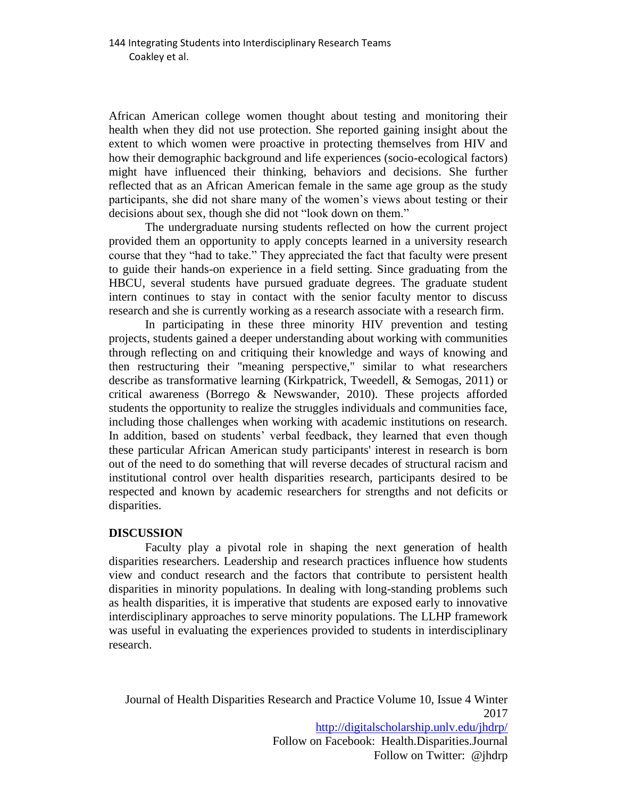African American college women thought about testing and monitoring their health when they did not use protection. She reported gaining insight about the extent to which women were proactive in protecting themselves from HIV and how their demographic background and life experiences (socio-ecological factors) might have influenced their thinking, behaviors and decisions. She further reflected that as an African American female in the same age group as the study participants, she did not share many of the women's views about testing or their decisions about sex, though she did not "look down on them."

The undergraduate nursing students reflected on how the current project provided them an opportunity to apply concepts learned in a university research course that they "had to take." They appreciated the fact that faculty were present to guide their hands-on experience in a field setting. Since graduating from the HBCU, several students have pursued graduate degrees. The graduate student intern continues to stay in contact with the senior faculty mentor to discuss research and she is currently working as a research associate with a research firm.

In participating in these three minority HIV prevention and testing projects, students gained a deeper understanding about working with communities through reflecting on and critiquing their knowledge and ways of knowing and then restructuring their "meaning perspective," similar to what researchers describe as transformative learning (Kirkpatrick, Tweedell, & Semogas, 2011) or critical awareness (Borrego & Newswander, 2010). These projects afforded students the opportunity to realize the struggles individuals and communities face, including those challenges when working with academic institutions on research. In addition, based on students' verbal feedback, they learned that even though these particular African American study participants' interest in research is born out of the need to do something that will reverse decades of structural racism and institutional control over health disparities research, participants desired to be respected and known by academic researchers for strengths and not deficits or disparities.

## **DISCUSSION**

Faculty play a pivotal role in shaping the next generation of health disparities researchers. Leadership and research practices influence how students view and conduct research and the factors that contribute to persistent health disparities in minority populations. In dealing with long-standing problems such as health disparities, it is imperative that students are exposed early to innovative interdisciplinary approaches to serve minority populations. The LLHP framework was useful in evaluating the experiences provided to students in interdisciplinary research.

Journal of Health Disparities Research and Practice Volume 10, Issue 4 Winter 2017 <http://digitalscholarship.unlv.edu/jhdrp/> Follow on Facebook: Health.Disparities.Journal Follow on Twitter: @jhdrp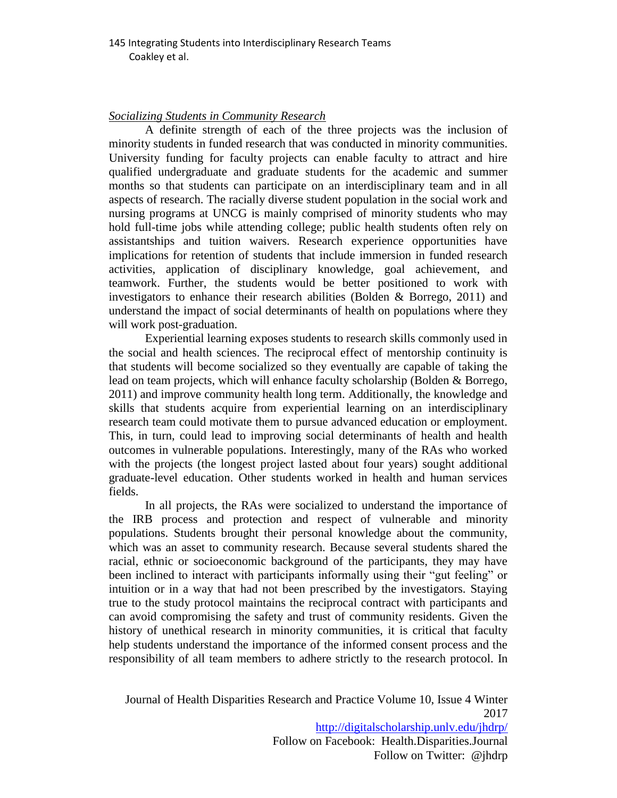#### *Socializing Students in Community Research*

A definite strength of each of the three projects was the inclusion of minority students in funded research that was conducted in minority communities. University funding for faculty projects can enable faculty to attract and hire qualified undergraduate and graduate students for the academic and summer months so that students can participate on an interdisciplinary team and in all aspects of research. The racially diverse student population in the social work and nursing programs at UNCG is mainly comprised of minority students who may hold full-time jobs while attending college; public health students often rely on assistantships and tuition waivers. Research experience opportunities have implications for retention of students that include immersion in funded research activities, application of disciplinary knowledge, goal achievement, and teamwork. Further, the students would be better positioned to work with investigators to enhance their research abilities (Bolden & Borrego, 2011) and understand the impact of social determinants of health on populations where they will work post-graduation.

Experiential learning exposes students to research skills commonly used in the social and health sciences. The reciprocal effect of mentorship continuity is that students will become socialized so they eventually are capable of taking the lead on team projects, which will enhance faculty scholarship (Bolden & Borrego, 2011) and improve community health long term. Additionally, the knowledge and skills that students acquire from experiential learning on an interdisciplinary research team could motivate them to pursue advanced education or employment. This, in turn, could lead to improving social determinants of health and health outcomes in vulnerable populations. Interestingly, many of the RAs who worked with the projects (the longest project lasted about four years) sought additional graduate-level education. Other students worked in health and human services fields.

In all projects, the RAs were socialized to understand the importance of the IRB process and protection and respect of vulnerable and minority populations. Students brought their personal knowledge about the community, which was an asset to community research. Because several students shared the racial, ethnic or socioeconomic background of the participants, they may have been inclined to interact with participants informally using their "gut feeling" or intuition or in a way that had not been prescribed by the investigators. Staying true to the study protocol maintains the reciprocal contract with participants and can avoid compromising the safety and trust of community residents. Given the history of unethical research in minority communities, it is critical that faculty help students understand the importance of the informed consent process and the responsibility of all team members to adhere strictly to the research protocol. In

Journal of Health Disparities Research and Practice Volume 10, Issue 4 Winter 2017 <http://digitalscholarship.unlv.edu/jhdrp/> Follow on Facebook: Health.Disparities.Journal

Follow on Twitter: @jhdrp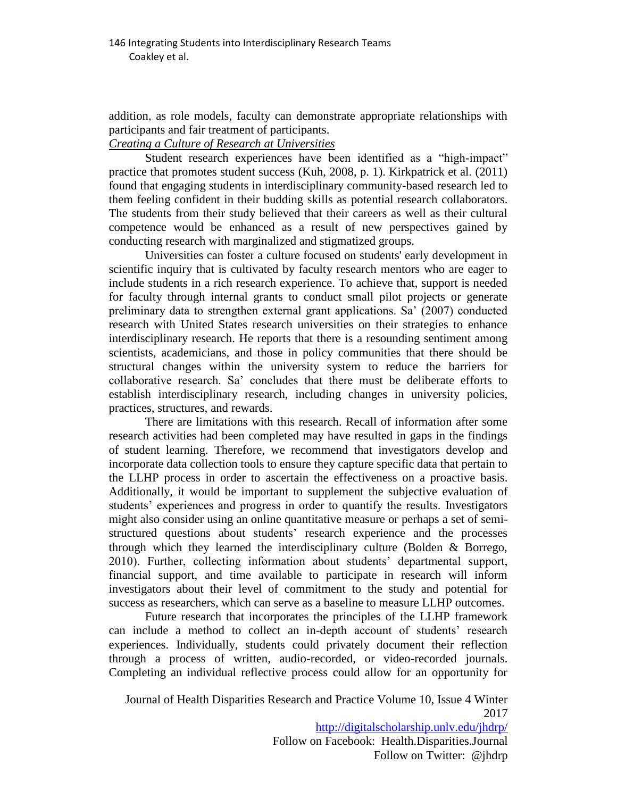addition, as role models, faculty can demonstrate appropriate relationships with participants and fair treatment of participants.

## *Creating a Culture of Research at Universities*

Student research experiences have been identified as a "high-impact" practice that promotes student success (Kuh, 2008, p. 1). Kirkpatrick et al. (2011) found that engaging students in interdisciplinary community-based research led to them feeling confident in their budding skills as potential research collaborators. The students from their study believed that their careers as well as their cultural competence would be enhanced as a result of new perspectives gained by conducting research with marginalized and stigmatized groups.

Universities can foster a culture focused on students' early development in scientific inquiry that is cultivated by faculty research mentors who are eager to include students in a rich research experience. To achieve that, support is needed for faculty through internal grants to conduct small pilot projects or generate preliminary data to strengthen external grant applications. Sa' (2007) conducted research with United States research universities on their strategies to enhance interdisciplinary research. He reports that there is a resounding sentiment among scientists, academicians, and those in policy communities that there should be structural changes within the university system to reduce the barriers for collaborative research. Sa' concludes that there must be deliberate efforts to establish interdisciplinary research, including changes in university policies, practices, structures, and rewards.

There are limitations with this research. Recall of information after some research activities had been completed may have resulted in gaps in the findings of student learning. Therefore, we recommend that investigators develop and incorporate data collection tools to ensure they capture specific data that pertain to the LLHP process in order to ascertain the effectiveness on a proactive basis. Additionally, it would be important to supplement the subjective evaluation of students' experiences and progress in order to quantify the results. Investigators might also consider using an online quantitative measure or perhaps a set of semistructured questions about students' research experience and the processes through which they learned the interdisciplinary culture (Bolden & Borrego, 2010). Further, collecting information about students' departmental support, financial support, and time available to participate in research will inform investigators about their level of commitment to the study and potential for success as researchers, which can serve as a baseline to measure LLHP outcomes.

Future research that incorporates the principles of the LLHP framework can include a method to collect an in-depth account of students' research experiences. Individually, students could privately document their reflection through a process of written, audio-recorded, or video-recorded journals. Completing an individual reflective process could allow for an opportunity for

Journal of Health Disparities Research and Practice Volume 10, Issue 4 Winter 2017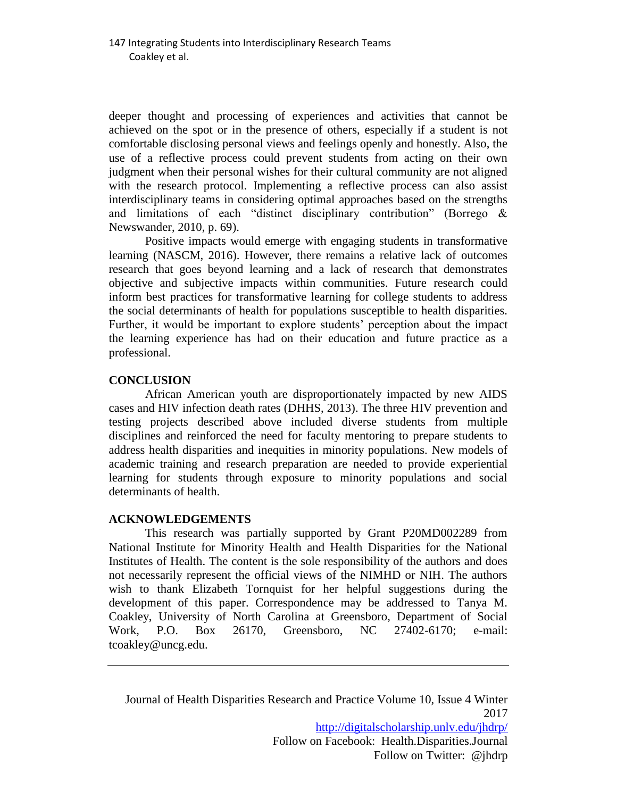deeper thought and processing of experiences and activities that cannot be achieved on the spot or in the presence of others, especially if a student is not comfortable disclosing personal views and feelings openly and honestly. Also, the use of a reflective process could prevent students from acting on their own judgment when their personal wishes for their cultural community are not aligned with the research protocol. Implementing a reflective process can also assist interdisciplinary teams in considering optimal approaches based on the strengths and limitations of each "distinct disciplinary contribution" (Borrego & Newswander, 2010, p. 69).

Positive impacts would emerge with engaging students in transformative learning (NASCM, 2016). However, there remains a relative lack of outcomes research that goes beyond learning and a lack of research that demonstrates objective and subjective impacts within communities. Future research could inform best practices for transformative learning for college students to address the social determinants of health for populations susceptible to health disparities. Further, it would be important to explore students' perception about the impact the learning experience has had on their education and future practice as a professional.

## **CONCLUSION**

African American youth are disproportionately impacted by new AIDS cases and HIV infection death rates (DHHS, 2013). The three HIV prevention and testing projects described above included diverse students from multiple disciplines and reinforced the need for faculty mentoring to prepare students to address health disparities and inequities in minority populations. New models of academic training and research preparation are needed to provide experiential learning for students through exposure to minority populations and social determinants of health.

#### **ACKNOWLEDGEMENTS**

This research was partially supported by Grant P20MD002289 from National Institute for Minority Health and Health Disparities for the National Institutes of Health. The content is the sole responsibility of the authors and does not necessarily represent the official views of the NIMHD or NIH. The authors wish to thank Elizabeth Tornquist for her helpful suggestions during the development of this paper. Correspondence may be addressed to Tanya M. Coakley, University of North Carolina at Greensboro, Department of Social Work, P.O. Box 26170, Greensboro, NC 27402-6170; e-mail: tcoakley@uncg.edu.

Journal of Health Disparities Research and Practice Volume 10, Issue 4 Winter 2017 <http://digitalscholarship.unlv.edu/jhdrp/> Follow on Facebook: Health.Disparities.Journal Follow on Twitter: @jhdrp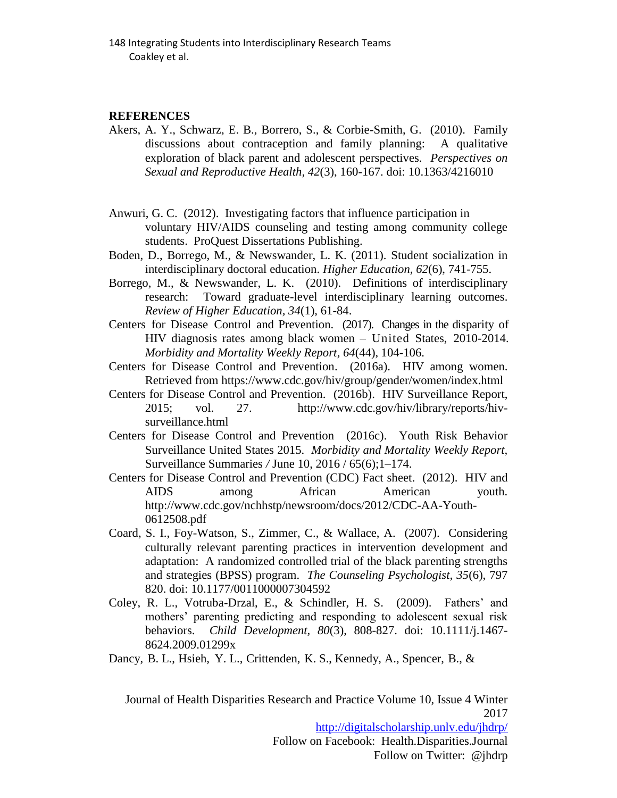#### **REFERENCES**

- Akers, A. Y., Schwarz, E. B., Borrero, S., & Corbie-Smith, G. (2010). Family discussions about contraception and family planning: A qualitative exploration of black parent and adolescent perspectives. *Perspectives on Sexual and Reproductive Health, 42*(3), 160-167. doi: 10.1363/4216010
- Anwuri, G. C. (2012). Investigating factors that influence participation in voluntary HIV/AIDS counseling and testing among community college students. ProQuest Dissertations Publishing.
- Boden, D., Borrego, M., & Newswander, L. K. (2011). Student socialization in interdisciplinary doctoral education. *Higher Education, 62*(6), 741-755.
- Borrego, M., & Newswander, L. K. (2010). Definitions of interdisciplinary research: Toward graduate-level interdisciplinary learning outcomes. *Review of Higher Education, 34*(1), 61-84.
- Centers for Disease Control and Prevention. (2017). Changes in the disparity of HIV diagnosis rates among black women – United States, 2010-2014. *Morbidity and Mortality Weekly Report, 64*(44), 104-106.
- Centers for Disease Control and Prevention. (2016a). HIV among women. Retrieved from https://www.cdc.gov/hiv/group/gender/women/index.html
- Centers for Disease Control and Prevention. (2016b). HIV Surveillance Report, 2015; vol. 27. http://www.cdc.gov/hiv/library/reports/hivsurveillance.html
- Centers for Disease Control and Prevention (2016c). Youth Risk Behavior Surveillance United States 2015. *Morbidity and Mortality Weekly Report,* Surveillance Summaries */* June 10, 2016 / 65(6);1–174.
- Centers for Disease Control and Prevention (CDC) Fact sheet. (2012). HIV and AIDS among African American youth. http://www.cdc.gov/nchhstp/newsroom/docs/2012/CDC-AA-Youth-0612508.pdf
- Coard, S. I., Foy-Watson, S., Zimmer, C., & Wallace, A. (2007). Considering culturally relevant parenting practices in intervention development and adaptation: A randomized controlled trial of the black parenting strengths and strategies (BPSS) program. *The Counseling Psychologist, 35*(6), 797 820. doi: 10.1177/0011000007304592
- Coley, R. L., Votruba-Drzal, E., & Schindler, H. S. (2009). Fathers' and mothers' parenting predicting and responding to adolescent sexual risk behaviors. *Child Development, 80*(3), 808-827. doi: 10.1111/j.1467- 8624.2009.01299x
- Dancy, B. L., Hsieh, Y. L., Crittenden, K. S., Kennedy, A., Spencer, B., &

Journal of Health Disparities Research and Practice Volume 10, Issue 4 Winter 2017 <http://digitalscholarship.unlv.edu/jhdrp/>

Follow on Facebook: Health.Disparities.Journal Follow on Twitter: @jhdrp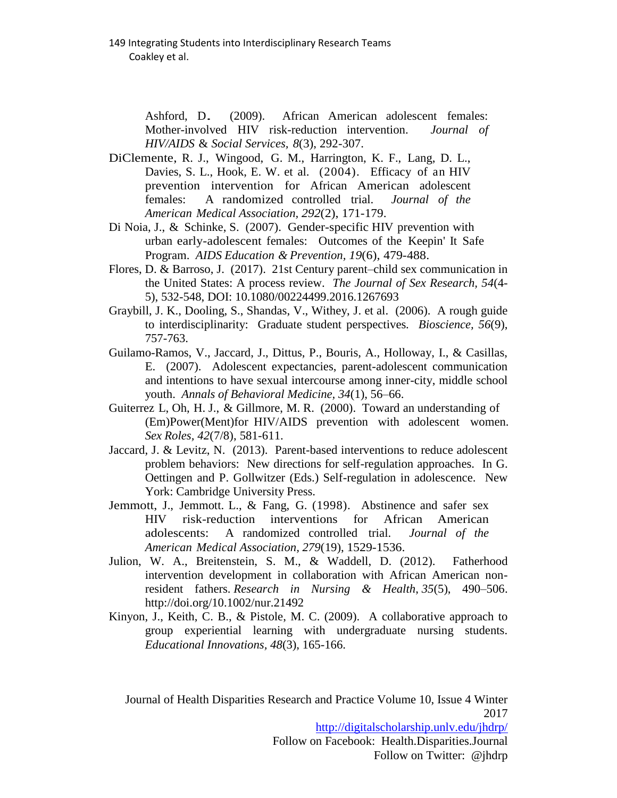Ashford, D. (2009). African American adolescent females:<br>Mother-involved HIV risk-reduction intervention. *Journal of* Mother-involved HIV risk-reduction intervention. *HIV/AIDS* & *Social Services, 8*(3), 292-307.

- DiClemente, R. J., Wingood, G. M., Harrington, K. F., Lang, D. L., Davies, S. L., Hook, E. W. et al. (2004). Efficacy of an HIV prevention intervention for African American adolescent females: A randomized controlled trial. *Journal of the American Medical Association, 292*(2), 171-179.
- Di Noia, J., & Schinke, S. (2007). Gender-specific HIV prevention with urban early-adolescent females: Outcomes of the Keepin' It Safe Program. *AIDS Education & Prevention, 19*(6), 479-488.
- Flores, D. & Barroso, J. (2017). 21st Century parent–child sex communication in the United States: A process review. *The Journal of Sex Research, 54*(4- 5), 532-548, DOI: 10.1080/00224499.2016.1267693
- Graybill, J. K., Dooling, S., Shandas, V., Withey, J. et al. (2006). A rough guide to interdisciplinarity: Graduate student perspectives*. Bioscience, 56*(9), 757-763.
- Guilamo-Ramos, V., Jaccard, J., Dittus, P., Bouris, A., Holloway, I., & Casillas, E. (2007). Adolescent expectancies, parent-adolescent communication and intentions to have sexual intercourse among inner-city, middle school youth. *Annals of Behavioral Medicine, 34*(1), 56–66.
- Guiterrez L, Oh, H. J., & Gillmore, M. R. (2000). Toward an understanding of (Em)Power(Ment)for HIV/AIDS prevention with adolescent women. *Sex Roles, 42*(7/8), 581-611.
- Jaccard, J. & Levitz, N. (2013). Parent-based interventions to reduce adolescent problem behaviors: New directions for self-regulation approaches. In G. Oettingen and P. Gollwitzer (Eds.) Self-regulation in adolescence. New York: Cambridge University Press.
- Jemmott, J., Jemmott. L., & Fang, G. (1998). Abstinence and safer sex HIV risk-reduction interventions for African American adolescents: A randomized controlled trial. *Journal of the American Medical Association, 279*(19), 1529-1536.
- Julion, W. A., Breitenstein, S. M., & Waddell, D. (2012). Fatherhood intervention development in collaboration with African American nonresident fathers. *Research in Nursing & Health*, *35*(5), 490–506. http://doi.org/10.1002/nur.21492
- Kinyon, J., Keith, C. B., & Pistole, M. C. (2009). A collaborative approach to group experiential learning with undergraduate nursing students. *Educational Innovations, 48*(3), 165-166.

Journal of Health Disparities Research and Practice Volume 10, Issue 4 Winter 2017 <http://digitalscholarship.unlv.edu/jhdrp/> Follow on Facebook: Health.Disparities.Journal

Follow on Twitter: @jhdrp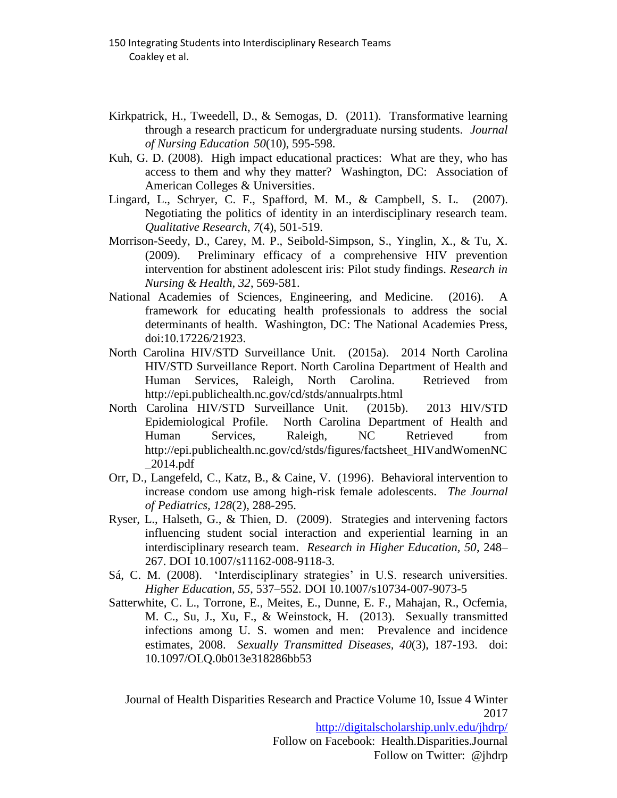- Kirkpatrick, H., Tweedell, D., & Semogas, D. (2011). Transformative learning through a research practicum for undergraduate nursing students. *Journal of Nursing Education 50*(10), 595-598.
- Kuh, G. D. (2008). High impact educational practices: What are they, who has access to them and why they matter? Washington, DC: Association of American Colleges & Universities.
- Lingard, L., Schryer, C. F., Spafford, M. M., & Campbell, S. L. (2007). Negotiating the politics of identity in an interdisciplinary research team. *Qualitative Research*, *7*(4), 501-519.
- Morrison-Seedy, D., Carey, M. P., Seibold-Simpson, S., Yinglin, X., & Tu, X. (2009). Preliminary efficacy of a comprehensive HIV prevention intervention for abstinent adolescent iris: Pilot study findings. *Research in Nursing & Health, 32*, 569-581.
- National Academies of Sciences, Engineering, and Medicine. (2016). A framework for educating health professionals to address the social determinants of health. Washington, DC: The National Academies Press, doi:10.17226/21923.
- North Carolina HIV/STD Surveillance Unit. (2015a). 2014 North Carolina HIV/STD Surveillance Report. North Carolina Department of Health and Human Services, Raleigh, North Carolina. Retrieved from http://epi.publichealth.nc.gov/cd/stds/annualrpts.html
- North Carolina HIV/STD Surveillance Unit. (2015b). 2013 HIV/STD Epidemiological Profile. North Carolina Department of Health and Human Services, Raleigh, NC Retrieved from http://epi.publichealth.nc.gov/cd/stds/figures/factsheet\_HIVandWomenNC \_2014.pdf
- Orr, D., Langefeld, C., Katz, B., & Caine, V. (1996). Behavioral intervention to increase condom use among high-risk female adolescents. *The Journal of Pediatrics, 128*(2), 288-295.
- Ryser, L., Halseth, G., & Thien, D. (2009). Strategies and intervening factors influencing student social interaction and experiential learning in an interdisciplinary research team. *Research in Higher Education, 50*, 248– 267. DOI 10.1007/s11162-008-9118-3.
- Sá, C. M. (2008). 'Interdisciplinary strategies' in U.S. research universities. *Higher Education, 55*, 537–552. DOI 10.1007/s10734-007-9073-5
- Satterwhite, C. L., Torrone, E., Meites, E., Dunne, E. F., Mahajan, R., Ocfemia, M. C., Su, J., Xu, F., & Weinstock, H. (2013). Sexually transmitted infections among U. S. women and men: Prevalence and incidence estimates, 2008. *Sexually Transmitted Diseases, 40*(3), 187-193. doi: 10.1097/OLQ.0b013e318286bb53

Journal of Health Disparities Research and Practice Volume 10, Issue 4 Winter 2017 <http://digitalscholarship.unlv.edu/jhdrp/>

Follow on Facebook: Health.Disparities.Journal Follow on Twitter: @jhdrp